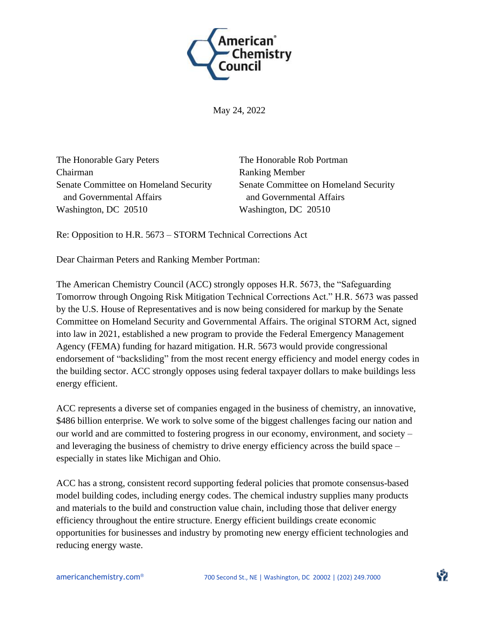

May 24, 2022

The Honorable Gary Peters Chairman Senate Committee on Homeland Security and Governmental Affairs Washington, DC 20510

The Honorable Rob Portman Ranking Member Senate Committee on Homeland Security and Governmental Affairs Washington, DC 20510

Re: Opposition to H.R. 5673 – STORM Technical Corrections Act

Dear Chairman Peters and Ranking Member Portman:

The American Chemistry Council (ACC) strongly opposes H.R. 5673, the "Safeguarding Tomorrow through Ongoing Risk Mitigation Technical Corrections Act." H.R. 5673 was passed by the U.S. House of Representatives and is now being considered for markup by the Senate Committee on Homeland Security and Governmental Affairs. The original STORM Act, signed into law in 2021, established a new program to provide the Federal Emergency Management Agency (FEMA) funding for hazard mitigation. H.R. 5673 would provide congressional endorsement of "backsliding" from the most recent energy efficiency and model energy codes in the building sector. ACC strongly opposes using federal taxpayer dollars to make buildings less energy efficient.

ACC represents a diverse set of companies engaged in the business of chemistry, an innovative, \$486 billion enterprise. We work to solve some of the biggest challenges facing our nation and our world and are committed to fostering progress in our economy, environment, and society – and leveraging the business of chemistry to drive energy efficiency across the build space – especially in states like Michigan and Ohio.

ACC has a strong, consistent record supporting federal policies that promote consensus-based model building codes, including energy codes. The chemical industry supplies many products and materials to the build and construction value chain, including those that deliver energy efficiency throughout the entire structure. Energy efficient buildings create economic opportunities for businesses and industry by promoting new energy efficient technologies and reducing energy waste.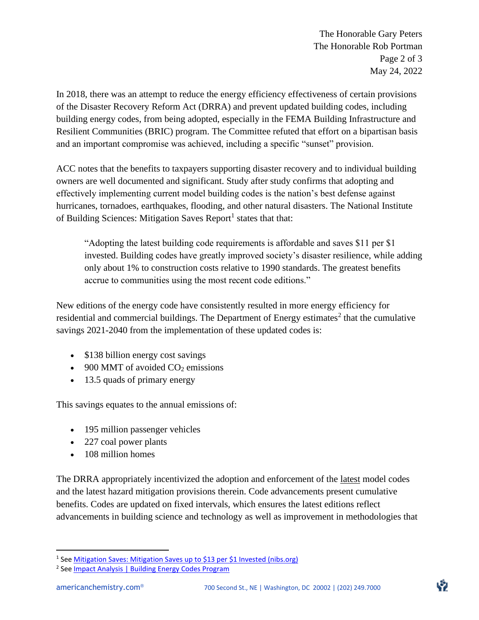The Honorable Gary Peters The Honorable Rob Portman Page 2 of 3 May 24, 2022

In 2018, there was an attempt to reduce the energy efficiency effectiveness of certain provisions of the Disaster Recovery Reform Act (DRRA) and prevent updated building codes, including building energy codes, from being adopted, especially in the FEMA Building Infrastructure and Resilient Communities (BRIC) program. The Committee refuted that effort on a bipartisan basis and an important compromise was achieved, including a specific "sunset" provision.

ACC notes that the benefits to taxpayers supporting disaster recovery and to individual building owners are well documented and significant. Study after study confirms that adopting and effectively implementing current model building codes is the nation's best defense against hurricanes, tornadoes, earthquakes, flooding, and other natural disasters. The National Institute of Building Sciences: Mitigation Saves Report<sup>1</sup> states that that:

"Adopting the latest building code requirements is affordable and saves \$11 per \$1 invested. Building codes have greatly improved society's disaster resilience, while adding only about 1% to construction costs relative to 1990 standards. The greatest benefits accrue to communities using the most recent code editions."

New editions of the energy code have consistently resulted in more energy efficiency for residential and commercial buildings. The Department of Energy estimates<sup>2</sup> that the cumulative savings 2021-2040 from the implementation of these updated codes is:

- \$138 billion energy cost savings
- 900 MMT of avoided  $CO<sub>2</sub>$  emissions
- 13.5 quads of primary energy

This savings equates to the annual emissions of:

- 195 million passenger vehicles
- 227 coal power plants
- 108 million homes

The DRRA appropriately incentivized the adoption and enforcement of the latest model codes and the latest hazard mitigation provisions therein. Code advancements present cumulative benefits. Codes are updated on fixed intervals, which ensures the latest editions reflect advancements in building science and technology as well as improvement in methodologies that

<sup>&</sup>lt;sup>1</sup> See <u>Mitigation Saves: Mitigation Saves up to \$13 per \$1 Invested (nibs.org)</u>

<sup>&</sup>lt;sup>2</sup> See **Impact Analysis | Building Energy Codes Program**